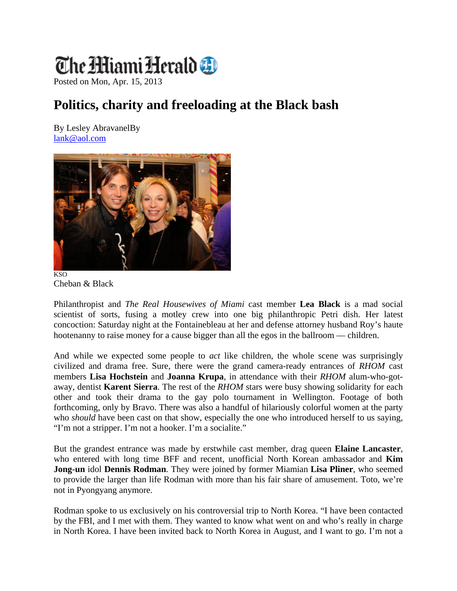## The MiamiHerald **O**

Posted on Mon, Apr. 15, 2013

## **Politics, charity and freeloading at the Black bash**

By Lesley AbravanelBy lank@aol.com





Philanthropist and *The Real Housewives of Miami* cast member **Lea Black** is a mad social scientist of sorts, fusing a motley crew into one big philanthropic Petri dish. Her latest concoction: Saturday night at the Fontainebleau at her and defense attorney husband Roy's haute hootenanny to raise money for a cause bigger than all the egos in the ballroom — children.

And while we expected some people to *act* like children, the whole scene was surprisingly civilized and drama free. Sure, there were the grand camera-ready entrances of *RHOM* cast members **Lisa Hochstein** and **Joanna Krupa**, in attendance with their *RHOM* alum-who-gotaway, dentist **Karent Sierra**. The rest of the *RHOM* stars were busy showing solidarity for each other and took their drama to the gay polo tournament in Wellington. Footage of both forthcoming, only by Bravo. There was also a handful of hilariously colorful women at the party who *should* have been cast on that show, especially the one who introduced herself to us saying, "I'm not a stripper. I'm not a hooker. I'm a socialite."

But the grandest entrance was made by erstwhile cast member, drag queen **Elaine Lancaster**, who entered with long time BFF and recent, unofficial North Korean ambassador and **Kim Jong-un** idol **Dennis Rodman**. They were joined by former Miamian **Lisa Pliner**, who seemed to provide the larger than life Rodman with more than his fair share of amusement. Toto, we're not in Pyongyang anymore.

Rodman spoke to us exclusively on his controversial trip to North Korea. "I have been contacted by the FBI, and I met with them. They wanted to know what went on and who's really in charge in North Korea. I have been invited back to North Korea in August, and I want to go. I'm not a